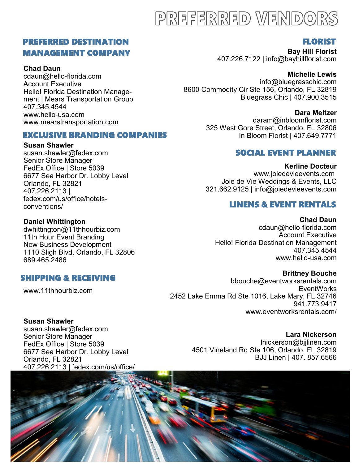## PREFERRED VENDORS

## PREFERRED DESTINATION MANAGEMENT COMPANY

#### **Chad Daun**

cdaun@hello-florida.com Account Executive Hello! Florida Destination Management | Mears Transportation Group 407.345.4544 www.hello-usa.com www.mearstransportation.com

#### EXCLUSIVE BRANDING COMPANIES

#### **Susan Shawler**

susan.shawler@fedex.com Senior Store Manager FedEx Office | Store 5039 6677 Sea Harbor Dr. Lobby Level Orlando, FL 32821 407.226.2113 | fedex.com/us/office/hotelsconventions/

#### **Daniel Whittington**

dwhittington@11thhourbiz.com 11th Hour Event Branding New Business Development 1110 Sligh Blvd, Orlando, FL 32806 689.465.2486

## SHIPPING & RECEIVING

www.11thhourbiz.com

## FLORIST

**Bay Hill Florist** 407.226.7122 | info@bayhillflorist.com

**Michelle Lewis** info@bluegrasschic.com 8600 Commodity Cir Ste 156, Orlando, FL 32819 Bluegrass Chic | 407.900.3515

> **Dara Meltzer** daram@inbloomflorist.com 325 West Gore Street, Orlando, FL 32806 In Bloom Florist | 407.649.7771

## SOCIAL EVENT PLANNER

**Kerline Docteur** www.joiedevieevents.com Joie de Vie Weddings & Events, LLC 321.662.9125 | info@joiedevieevents.com

### LINENS & EVENT RENTALS

**Chad Daun** cdaun@hello-florida.com Account Executive Hello! Florida Destination Management 407.345.4544 www.hello-usa.com

#### **Brittney Bouche**

bbouche@eventworksrentals.com **EventWorks** 2452 Lake Emma Rd Ste 1016, Lake Mary, FL 32746 941.773.9417 www.eventworksrentals.com/

#### **Susan Shawler**

susan.shawler@fedex.com Senior Store Manager FedEx Office | Store 5039 6677 Sea Harbor Dr. Lobby Level Orlando, FL 32821 407.226.2113 | fedex.com/us/office/

**Lara Nickerson** lnickerson@bjjlinen.com 4501 Vineland Rd Ste 106, Orlando, FL 32819 BJJ Linen | 407. 857.6566